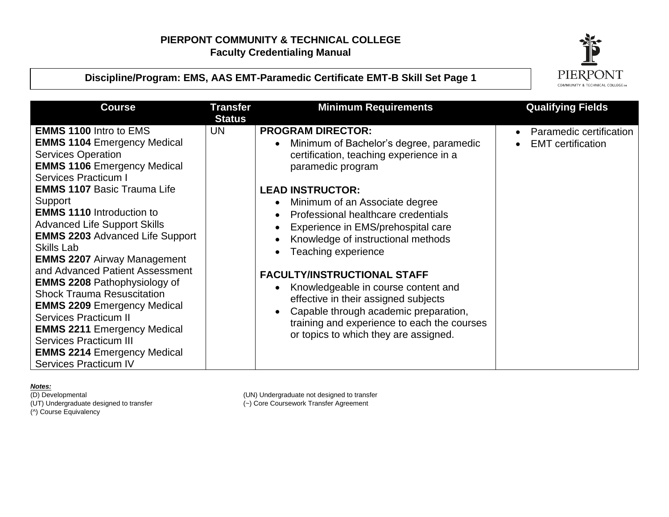## **Discipline/Program: EMS, AAS EMT-Paramedic Certificate EMT-B Skill Set Page 1**



| <b>Course</b>                                                                                                                                                                                                                                                                                                                                                                                                                                                                                                                                                                                                                                                                                                | Transfer<br><b>Status</b> | <b>Minimum Requirements</b>                                                                                                                                                                                                                                                                                                                                                                                                                                                                                                                                                                      | <b>Qualifying Fields</b>                            |
|--------------------------------------------------------------------------------------------------------------------------------------------------------------------------------------------------------------------------------------------------------------------------------------------------------------------------------------------------------------------------------------------------------------------------------------------------------------------------------------------------------------------------------------------------------------------------------------------------------------------------------------------------------------------------------------------------------------|---------------------------|--------------------------------------------------------------------------------------------------------------------------------------------------------------------------------------------------------------------------------------------------------------------------------------------------------------------------------------------------------------------------------------------------------------------------------------------------------------------------------------------------------------------------------------------------------------------------------------------------|-----------------------------------------------------|
| <b>EMMS 1100 Intro to EMS</b><br><b>EMMS 1104 Emergency Medical</b><br><b>Services Operation</b><br><b>EMMS 1106 Emergency Medical</b><br>Services Practicum I<br><b>EMMS 1107 Basic Trauma Life</b><br>Support<br><b>EMMS 1110</b> Introduction to<br><b>Advanced Life Support Skills</b><br><b>EMMS 2203 Advanced Life Support</b><br>Skills Lab<br><b>EMMS 2207 Airway Management</b><br>and Advanced Patient Assessment<br><b>EMMS 2208 Pathophysiology of</b><br><b>Shock Trauma Resuscitation</b><br><b>EMMS 2209 Emergency Medical</b><br><b>Services Practicum II</b><br><b>EMMS 2211 Emergency Medical</b><br>Services Practicum III<br><b>EMMS 2214 Emergency Medical</b><br>Services Practicum IV | <b>UN</b>                 | <b>PROGRAM DIRECTOR:</b><br>Minimum of Bachelor's degree, paramedic<br>certification, teaching experience in a<br>paramedic program<br><b>LEAD INSTRUCTOR:</b><br>Minimum of an Associate degree<br>Professional healthcare credentials<br>Experience in EMS/prehospital care<br>Knowledge of instructional methods<br>Teaching experience<br><b>FACULTY/INSTRUCTIONAL STAFF</b><br>Knowledgeable in course content and<br>effective in their assigned subjects<br>Capable through academic preparation,<br>training and experience to each the courses<br>or topics to which they are assigned. | Paramedic certification<br><b>EMT</b> certification |

**Notes:**<br>(D) Developmental (^) Course Equivalency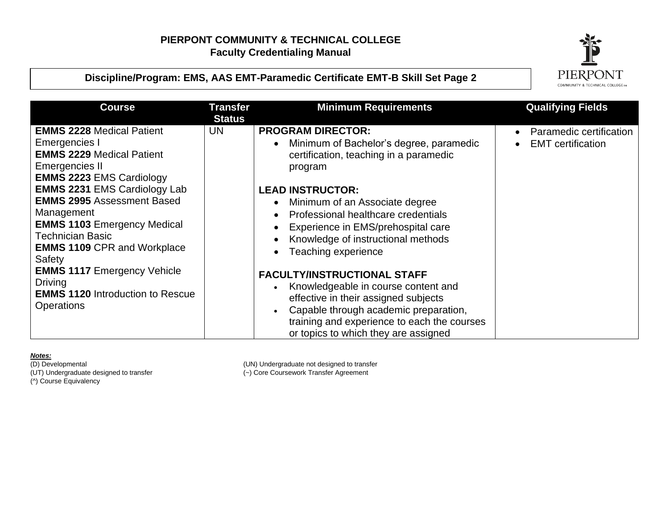## **Discipline/Program: EMS, AAS EMT-Paramedic Certificate EMT-B Skill Set Page 2**



| <b>Course</b>                                                                                                                                                                                           | <b>Transfer</b><br><b>Status</b> | <b>Minimum Requirements</b>                                                                                                                                                                                                                       | <b>Qualifying Fields</b>                            |
|---------------------------------------------------------------------------------------------------------------------------------------------------------------------------------------------------------|----------------------------------|---------------------------------------------------------------------------------------------------------------------------------------------------------------------------------------------------------------------------------------------------|-----------------------------------------------------|
| <b>EMMS 2228 Medical Patient</b><br>Emergencies I<br><b>EMMS 2229 Medical Patient</b><br>Emergencies II<br><b>EMMS 2223 EMS Cardiology</b>                                                              | <b>UN</b>                        | <b>PROGRAM DIRECTOR:</b><br>Minimum of Bachelor's degree, paramedic<br>certification, teaching in a paramedic<br>program                                                                                                                          | Paramedic certification<br><b>EMT</b> certification |
| <b>EMMS 2231 EMS Cardiology Lab</b><br><b>EMMS 2995 Assessment Based</b><br>Management<br><b>EMMS 1103 Emergency Medical</b><br><b>Technician Basic</b><br><b>EMMS 1109 CPR and Workplace</b><br>Safety |                                  | <b>LEAD INSTRUCTOR:</b><br>Minimum of an Associate degree<br>Professional healthcare credentials<br>Experience in EMS/prehospital care<br>Knowledge of instructional methods<br>Teaching experience                                               |                                                     |
| <b>EMMS 1117 Emergency Vehicle</b><br><b>Driving</b><br><b>EMMS 1120 Introduction to Rescue</b><br><b>Operations</b>                                                                                    |                                  | <b>FACULTY/INSTRUCTIONAL STAFF</b><br>Knowledgeable in course content and<br>effective in their assigned subjects<br>Capable through academic preparation,<br>training and experience to each the courses<br>or topics to which they are assigned |                                                     |

#### *Notes:*

(^) Course Equivalency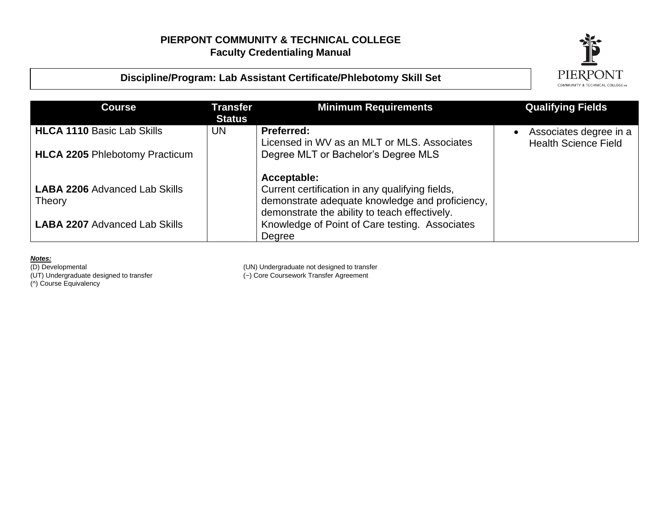### **Discipline/Program: Lab Assistant Certificate/Phlebotomy Skill Set**



| <b>Course</b>                                  | <b>Transfer</b><br><b>Status</b> | <b>Minimum Requirements</b>                                                                                                                                        | <b>Qualifying Fields</b>                              |
|------------------------------------------------|----------------------------------|--------------------------------------------------------------------------------------------------------------------------------------------------------------------|-------------------------------------------------------|
| <b>HLCA 1110 Basic Lab Skills</b>              | UN                               | <b>Preferred:</b><br>Licensed in WV as an MLT or MLS. Associates                                                                                                   | Associates degree in a<br><b>Health Science Field</b> |
| <b>HLCA 2205 Phlebotomy Practicum</b>          |                                  | Degree MLT or Bachelor's Degree MLS                                                                                                                                |                                                       |
| <b>LABA 2206 Advanced Lab Skills</b><br>Theory |                                  | Acceptable:<br>Current certification in any qualifying fields,<br>demonstrate adequate knowledge and proficiency,<br>demonstrate the ability to teach effectively. |                                                       |
| <b>LABA 2207 Advanced Lab Skills</b>           |                                  | Knowledge of Point of Care testing. Associates<br>Degree                                                                                                           |                                                       |

**Notes:**<br>(D) Developmental

(D) Developmental<br>
(UN) Undergraduate not designed to transfer<br>
(UT) Undergraduate designed to transfer<br>
(-) Core Coursework Transfer Agreement (~) Core Coursework Transfer Agreement

(^) Course Equivalency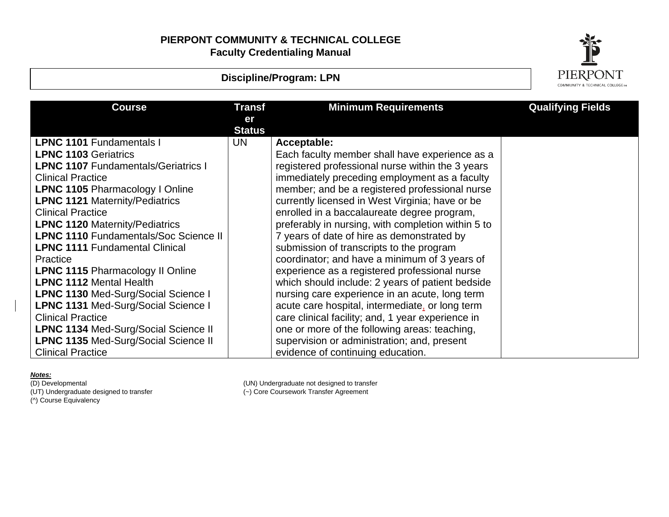

## **Discipline/Program: LPN**

| <b>Course</b>                                | <b>Transf</b>       | <b>Minimum Requirements</b>                        | <b>Qualifying Fields</b> |
|----------------------------------------------|---------------------|----------------------------------------------------|--------------------------|
|                                              | er<br><b>Status</b> |                                                    |                          |
| <b>LPNC 1101 Fundamentals I</b>              | UN                  | Acceptable:                                        |                          |
| <b>LPNC 1103 Geriatrics</b>                  |                     | Each faculty member shall have experience as a     |                          |
| <b>LPNC 1107 Fundamentals/Geriatrics I</b>   |                     | registered professional nurse within the 3 years   |                          |
| <b>Clinical Practice</b>                     |                     | immediately preceding employment as a faculty      |                          |
| <b>LPNC 1105 Pharmacology I Online</b>       |                     | member; and be a registered professional nurse     |                          |
| <b>LPNC 1121 Maternity/Pediatrics</b>        |                     | currently licensed in West Virginia; have or be    |                          |
| <b>Clinical Practice</b>                     |                     | enrolled in a baccalaureate degree program,        |                          |
| <b>LPNC 1120 Maternity/Pediatrics</b>        |                     | preferably in nursing, with completion within 5 to |                          |
| <b>LPNC 1110 Fundamentals/Soc Science II</b> |                     | 7 years of date of hire as demonstrated by         |                          |
| <b>LPNC 1111 Fundamental Clinical</b>        |                     | submission of transcripts to the program           |                          |
| Practice                                     |                     | coordinator; and have a minimum of 3 years of      |                          |
| <b>LPNC 1115 Pharmacology II Online</b>      |                     | experience as a registered professional nurse      |                          |
| <b>LPNC 1112 Mental Health</b>               |                     | which should include: 2 years of patient bedside   |                          |
| <b>LPNC 1130 Med-Surg/Social Science I</b>   |                     | nursing care experience in an acute, long term     |                          |
| <b>LPNC 1131 Med-Surg/Social Science I</b>   |                     | acute care hospital, intermediate, or long term    |                          |
| <b>Clinical Practice</b>                     |                     | care clinical facility; and, 1 year experience in  |                          |
| <b>LPNC 1134 Med-Surg/Social Science II</b>  |                     | one or more of the following areas: teaching,      |                          |
| LPNC 1135 Med-Surg/Social Science II         |                     | supervision or administration; and, present        |                          |
| <b>Clinical Practice</b>                     |                     | evidence of continuing education.                  |                          |

**Notes:**<br>(D) Developmental (UT) Undergraduate designed to transfer<br>(^) Course Equivalency

(UN) Undergraduate not designed to transfer (~) Core Coursework Transfer Agreement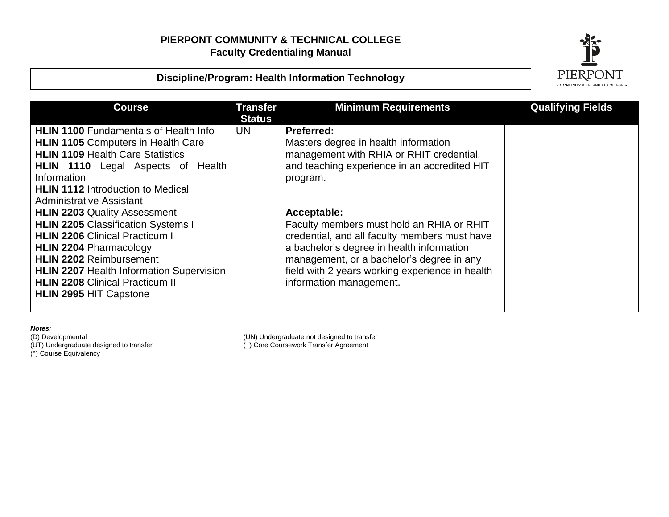## **Discipline/Program: Health Information Technology**



| <b>Status</b>                                                                                                                                                                                                                                                                                                                                                                                                                                                                                                                                                                                                      |                                                                                                                                                                                                                                                                                                                                                                                                                                                 |  |
|--------------------------------------------------------------------------------------------------------------------------------------------------------------------------------------------------------------------------------------------------------------------------------------------------------------------------------------------------------------------------------------------------------------------------------------------------------------------------------------------------------------------------------------------------------------------------------------------------------------------|-------------------------------------------------------------------------------------------------------------------------------------------------------------------------------------------------------------------------------------------------------------------------------------------------------------------------------------------------------------------------------------------------------------------------------------------------|--|
| <b>HLIN 1100 Fundamentals of Health Info</b><br><b>UN</b><br><b>HLIN 1105 Computers in Health Care</b><br><b>HLIN 1109 Health Care Statistics</b><br><b>HLIN 1110</b> Legal Aspects of Health<br>Information<br><b>HLIN 1112</b> Introduction to Medical<br>Administrative Assistant<br><b>HLIN 2203 Quality Assessment</b><br><b>HLIN 2205 Classification Systems I</b><br><b>HLIN 2206 Clinical Practicum I</b><br><b>HLIN 2204 Pharmacology</b><br><b>HLIN 2202 Reimbursement</b><br><b>HLIN 2207 Health Information Supervision</b><br><b>HLIN 2208 Clinical Practicum II</b><br><b>HLIN 2995 HIT Capstone</b> | Preferred:<br>Masters degree in health information<br>management with RHIA or RHIT credential,<br>and teaching experience in an accredited HIT<br>program.<br>Acceptable:<br>Faculty members must hold an RHIA or RHIT<br>credential, and all faculty members must have<br>a bachelor's degree in health information<br>management, or a bachelor's degree in any<br>field with 2 years working experience in health<br>information management. |  |

*Notes:*<br>(D) Developmental<br>(UT) Undergraduate designed to transfer

(D) Developmental (UN) Undergraduate not designed to transfer (UT) Undergraduate designed to transfer (~) Core Coursework Transfer Agreement

(^) Course Equivalency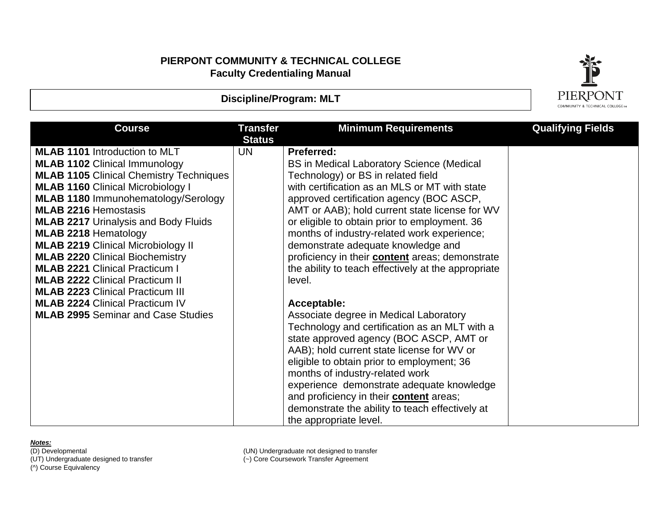**Discipline/Program: MLT**



| <b>Course</b><br><b>Transfer</b><br><b>Status</b>                                                                                                                                                                                                                                                                                                                                                                                                                                                                                                                                                                                                       | <b>Minimum Requirements</b>                                                                                                                                                                                                                                                                                                                                                                                                                                                                                                                                                                                                                                                                                                                                                                                                                                                                                                                                                                 | <b>Qualifying Fields</b> |
|---------------------------------------------------------------------------------------------------------------------------------------------------------------------------------------------------------------------------------------------------------------------------------------------------------------------------------------------------------------------------------------------------------------------------------------------------------------------------------------------------------------------------------------------------------------------------------------------------------------------------------------------------------|---------------------------------------------------------------------------------------------------------------------------------------------------------------------------------------------------------------------------------------------------------------------------------------------------------------------------------------------------------------------------------------------------------------------------------------------------------------------------------------------------------------------------------------------------------------------------------------------------------------------------------------------------------------------------------------------------------------------------------------------------------------------------------------------------------------------------------------------------------------------------------------------------------------------------------------------------------------------------------------------|--------------------------|
| <b>MLAB 1101</b> Introduction to MLT<br>UN<br><b>MLAB 1102 Clinical Immunology</b><br><b>MLAB 1105 Clinical Chemistry Techniques</b><br><b>MLAB 1160 Clinical Microbiology I</b><br><b>MLAB 1180 Immunohematology/Serology</b><br><b>MLAB 2216 Hemostasis</b><br><b>MLAB 2217 Urinalysis and Body Fluids</b><br><b>MLAB 2218 Hematology</b><br><b>MLAB 2219 Clinical Microbiology II</b><br><b>MLAB 2220 Clinical Biochemistry</b><br><b>MLAB 2221 Clinical Practicum I</b><br><b>MLAB 2222 Clinical Practicum II</b><br><b>MLAB 2223 Clinical Practicum III</b><br><b>MLAB 2224 Clinical Practicum IV</b><br><b>MLAB 2995 Seminar and Case Studies</b> | <b>Preferred:</b><br><b>BS in Medical Laboratory Science (Medical</b><br>Technology) or BS in related field<br>with certification as an MLS or MT with state<br>approved certification agency (BOC ASCP,<br>AMT or AAB); hold current state license for WV<br>or eligible to obtain prior to employment. 36<br>months of industry-related work experience;<br>demonstrate adequate knowledge and<br>proficiency in their <b>content</b> areas; demonstrate<br>the ability to teach effectively at the appropriate<br>level.<br>Acceptable:<br>Associate degree in Medical Laboratory<br>Technology and certification as an MLT with a<br>state approved agency (BOC ASCP, AMT or<br>AAB); hold current state license for WV or<br>eligible to obtain prior to employment; 36<br>months of industry-related work<br>experience demonstrate adequate knowledge<br>and proficiency in their <b>content</b> areas;<br>demonstrate the ability to teach effectively at<br>the appropriate level. |                          |

**Notes:**<br>(D) Developmental (^) Course Equivalency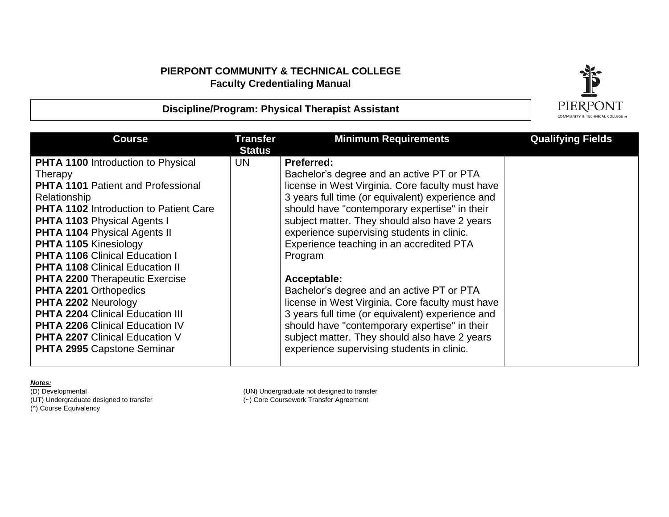**Discipline/Program: Physical Therapist Assistant**



| <b>Course</b>                                 | Transfer      | <b>Minimum Requirements</b>                      | <b>Qualifying Fields</b> |
|-----------------------------------------------|---------------|--------------------------------------------------|--------------------------|
|                                               | <b>Status</b> |                                                  |                          |
| <b>PHTA 1100</b> Introduction to Physical     | UN            | <b>Preferred:</b>                                |                          |
| Therapy                                       |               | Bachelor's degree and an active PT or PTA        |                          |
| <b>PHTA 1101 Patient and Professional</b>     |               | license in West Virginia. Core faculty must have |                          |
| Relationship                                  |               | 3 years full time (or equivalent) experience and |                          |
| <b>PHTA 1102</b> Introduction to Patient Care |               | should have "contemporary expertise" in their    |                          |
| <b>PHTA 1103 Physical Agents I</b>            |               | subject matter. They should also have 2 years    |                          |
| <b>PHTA 1104 Physical Agents II</b>           |               | experience supervising students in clinic.       |                          |
| <b>PHTA 1105 Kinesiology</b>                  |               | Experience teaching in an accredited PTA         |                          |
| <b>PHTA 1106 Clinical Education I</b>         |               | Program                                          |                          |
| <b>PHTA 1108 Clinical Education II</b>        |               |                                                  |                          |
| <b>PHTA 2200 Therapeutic Exercise</b>         |               | Acceptable:                                      |                          |
| <b>PHTA 2201 Orthopedics</b>                  |               | Bachelor's degree and an active PT or PTA        |                          |
| <b>PHTA 2202 Neurology</b>                    |               | license in West Virginia. Core faculty must have |                          |
| <b>PHTA 2204 Clinical Education III</b>       |               | 3 years full time (or equivalent) experience and |                          |
| <b>PHTA 2206 Clinical Education IV</b>        |               | should have "contemporary expertise" in their    |                          |
| <b>PHTA 2207 Clinical Education V</b>         |               | subject matter. They should also have 2 years    |                          |
| PHTA 2995 Capstone Seminar                    |               | experience supervising students in clinic.       |                          |
|                                               |               |                                                  |                          |

**Notes:**<br>(D) Developmental (^) Course Equivalency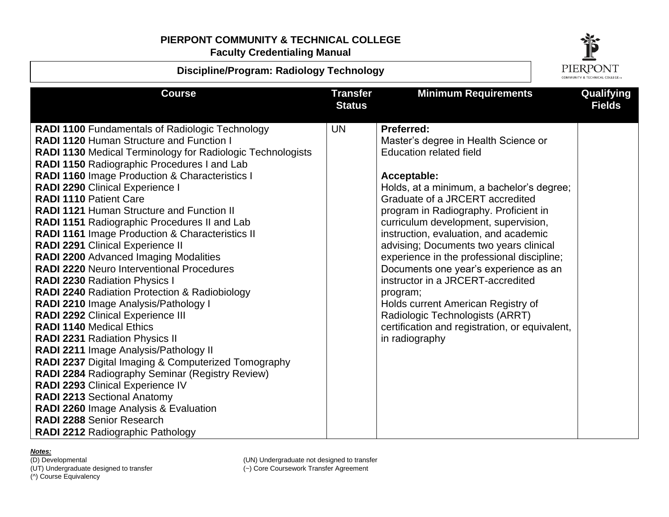## **PIERPONT COMMUNITY & TECHNICAL COLLEGE**

**Faculty Credentialing Manual**





| <b>Course</b>                                                     | <b>Transfer</b> | <b>Minimum Requirements</b>                    | Qualifying    |
|-------------------------------------------------------------------|-----------------|------------------------------------------------|---------------|
|                                                                   | <b>Status</b>   |                                                | <b>Fields</b> |
| <b>RADI 1100 Fundamentals of Radiologic Technology</b>            | <b>UN</b>       | <b>Preferred:</b>                              |               |
| <b>RADI 1120 Human Structure and Function I</b>                   |                 | Master's degree in Health Science or           |               |
| <b>RADI 1130 Medical Terminology for Radiologic Technologists</b> |                 | <b>Education related field</b>                 |               |
| RADI 1150 Radiographic Procedures I and Lab                       |                 |                                                |               |
| RADI 1160 Image Production & Characteristics I                    |                 | Acceptable:                                    |               |
| RADI 2290 Clinical Experience I                                   |                 | Holds, at a minimum, a bachelor's degree;      |               |
| <b>RADI 1110 Patient Care</b>                                     |                 | Graduate of a JRCERT accredited                |               |
| <b>RADI 1121 Human Structure and Function II</b>                  |                 | program in Radiography. Proficient in          |               |
| RADI 1151 Radiographic Procedures II and Lab                      |                 | curriculum development, supervision,           |               |
| RADI 1161 Image Production & Characteristics II                   |                 | instruction, evaluation, and academic          |               |
| RADI 2291 Clinical Experience II                                  |                 | advising; Documents two years clinical         |               |
| RADI 2200 Advanced Imaging Modalities                             |                 | experience in the professional discipline;     |               |
| <b>RADI 2220 Neuro Interventional Procedures</b>                  |                 | Documents one year's experience as an          |               |
| <b>RADI 2230 Radiation Physics I</b>                              |                 | instructor in a JRCERT-accredited              |               |
| <b>RADI 2240 Radiation Protection &amp; Radiobiology</b>          |                 | program;                                       |               |
| RADI 2210 Image Analysis/Pathology I                              |                 | Holds current American Registry of             |               |
| <b>RADI 2292 Clinical Experience III</b>                          |                 | Radiologic Technologists (ARRT)                |               |
| <b>RADI 1140 Medical Ethics</b>                                   |                 | certification and registration, or equivalent, |               |
| <b>RADI 2231 Radiation Physics II</b>                             |                 | in radiography                                 |               |
| RADI 2211 Image Analysis/Pathology II                             |                 |                                                |               |
| RADI 2237 Digital Imaging & Computerized Tomography               |                 |                                                |               |
| RADI 2284 Radiography Seminar (Registry Review)                   |                 |                                                |               |
| RADI 2293 Clinical Experience IV                                  |                 |                                                |               |
| <b>RADI 2213 Sectional Anatomy</b>                                |                 |                                                |               |
| RADI 2260 Image Analysis & Evaluation                             |                 |                                                |               |
| <b>RADI 2288 Senior Research</b>                                  |                 |                                                |               |
| <b>RADI 2212 Radiographic Pathology</b>                           |                 |                                                |               |

- **Notes:**<br>(D) Developmental
- (^) Course Equivalency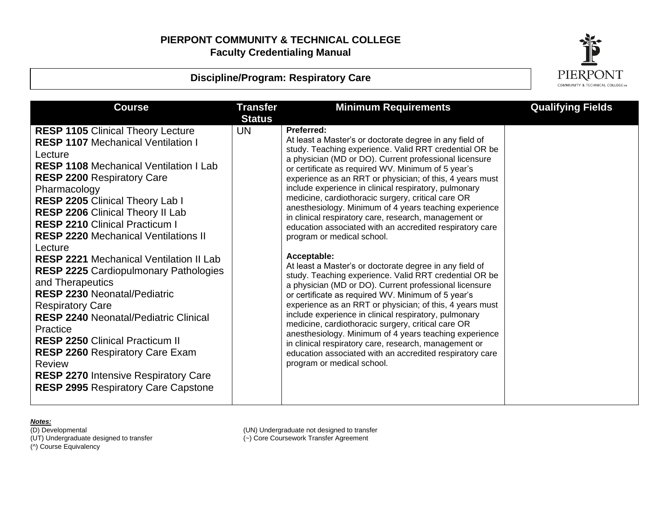



| <b>Course</b>                                                                                                                                                                                                                                                                                                                                                                                                                                                                                                                                                                                                                                                                                                                                                                                                                                 | <b>Transfer</b><br><b>Status</b> | <b>Minimum Requirements</b>                                                                                                                                                                                                                                                                                                                                                                                                                                                                                                                                                                                                                                                                                                                                                                                                                                                                                                                                                                                                                                                                                                                                                                                                                                                         | <b>Qualifying Fields</b> |
|-----------------------------------------------------------------------------------------------------------------------------------------------------------------------------------------------------------------------------------------------------------------------------------------------------------------------------------------------------------------------------------------------------------------------------------------------------------------------------------------------------------------------------------------------------------------------------------------------------------------------------------------------------------------------------------------------------------------------------------------------------------------------------------------------------------------------------------------------|----------------------------------|-------------------------------------------------------------------------------------------------------------------------------------------------------------------------------------------------------------------------------------------------------------------------------------------------------------------------------------------------------------------------------------------------------------------------------------------------------------------------------------------------------------------------------------------------------------------------------------------------------------------------------------------------------------------------------------------------------------------------------------------------------------------------------------------------------------------------------------------------------------------------------------------------------------------------------------------------------------------------------------------------------------------------------------------------------------------------------------------------------------------------------------------------------------------------------------------------------------------------------------------------------------------------------------|--------------------------|
| <b>RESP 1105 Clinical Theory Lecture</b><br><b>RESP 1107 Mechanical Ventilation I</b><br>Lecture<br><b>RESP 1108</b> Mechanical Ventilation I Lab<br><b>RESP 2200 Respiratory Care</b><br>Pharmacology<br><b>RESP 2205 Clinical Theory Lab I</b><br><b>RESP 2206 Clinical Theory II Lab</b><br><b>RESP 2210 Clinical Practicum I</b><br><b>RESP 2220 Mechanical Ventilations II</b><br>Lecture<br><b>RESP 2221 Mechanical Ventilation II Lab</b><br><b>RESP 2225 Cardiopulmonary Pathologies</b><br>and Therapeutics<br><b>RESP 2230 Neonatal/Pediatric</b><br><b>Respiratory Care</b><br><b>RESP 2240 Neonatal/Pediatric Clinical</b><br>Practice<br><b>RESP 2250 Clinical Practicum II</b><br><b>RESP 2260 Respiratory Care Exam</b><br>Review<br><b>RESP 2270 Intensive Respiratory Care</b><br><b>RESP 2995 Respiratory Care Capstone</b> | UN                               | Preferred:<br>At least a Master's or doctorate degree in any field of<br>study. Teaching experience. Valid RRT credential OR be<br>a physician (MD or DO). Current professional licensure<br>or certificate as required WV. Minimum of 5 year's<br>experience as an RRT or physician; of this, 4 years must<br>include experience in clinical respiratory, pulmonary<br>medicine, cardiothoracic surgery, critical care OR<br>anesthesiology. Minimum of 4 years teaching experience<br>in clinical respiratory care, research, management or<br>education associated with an accredited respiratory care<br>program or medical school.<br>Acceptable:<br>At least a Master's or doctorate degree in any field of<br>study. Teaching experience. Valid RRT credential OR be<br>a physician (MD or DO). Current professional licensure<br>or certificate as required WV. Minimum of 5 year's<br>experience as an RRT or physician; of this, 4 years must<br>include experience in clinical respiratory, pulmonary<br>medicine, cardiothoracic surgery, critical care OR<br>anesthesiology. Minimum of 4 years teaching experience<br>in clinical respiratory care, research, management or<br>education associated with an accredited respiratory care<br>program or medical school. |                          |
|                                                                                                                                                                                                                                                                                                                                                                                                                                                                                                                                                                                                                                                                                                                                                                                                                                               |                                  |                                                                                                                                                                                                                                                                                                                                                                                                                                                                                                                                                                                                                                                                                                                                                                                                                                                                                                                                                                                                                                                                                                                                                                                                                                                                                     |                          |

#### *Notes:*

(D) Developmental<br>(UT) Undergraduate designed to transfer<br>(^) Course Equivalency

(D) Developmental (UN) Undergraduate not designed to transfer

(UT) Undergraduate designed to transfer (~) Core Coursework Transfer Agreement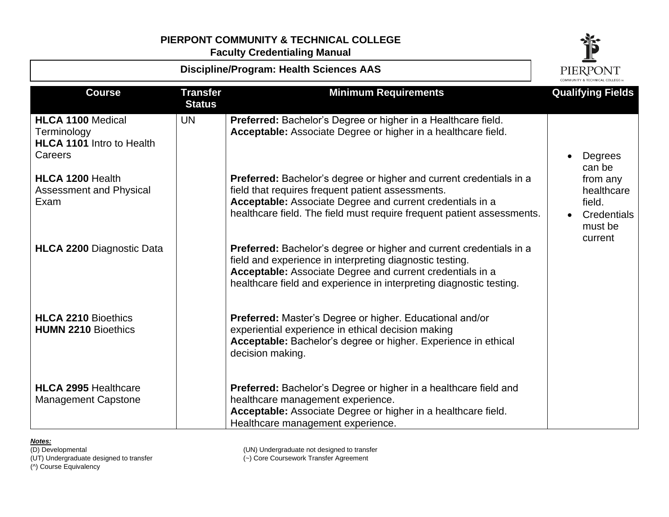# **PIERPONT COMMUNITY & TECHNICAL COLLEGE**

**Faculty Credentialing Manual**





|                                                                                        |                                  |                                                                                                                                                                                                                                                                        | COMMUNITY & TECHNICAL COLLEGETY                                       |
|----------------------------------------------------------------------------------------|----------------------------------|------------------------------------------------------------------------------------------------------------------------------------------------------------------------------------------------------------------------------------------------------------------------|-----------------------------------------------------------------------|
| <b>Course</b>                                                                          | <b>Transfer</b><br><b>Status</b> | <b>Minimum Requirements</b>                                                                                                                                                                                                                                            | <b>Qualifying Fields</b>                                              |
| <b>HLCA 1100 Medical</b><br>Terminology<br><b>HLCA 1101</b> Intro to Health<br>Careers | <b>UN</b>                        | Preferred: Bachelor's Degree or higher in a Healthcare field.<br>Acceptable: Associate Degree or higher in a healthcare field.                                                                                                                                         | Degrees<br>can be                                                     |
| <b>HLCA 1200 Health</b><br><b>Assessment and Physical</b><br>Exam                      |                                  | <b>Preferred:</b> Bachelor's degree or higher and current credentials in a<br>field that requires frequent patient assessments.<br>Acceptable: Associate Degree and current credentials in a<br>healthcare field. The field must require frequent patient assessments. | from any<br>healthcare<br>field.<br>Credentials<br>must be<br>current |
| <b>HLCA 2200 Diagnostic Data</b>                                                       |                                  | Preferred: Bachelor's degree or higher and current credentials in a<br>field and experience in interpreting diagnostic testing.<br>Acceptable: Associate Degree and current credentials in a<br>healthcare field and experience in interpreting diagnostic testing.    |                                                                       |
| <b>HLCA 2210 Bioethics</b><br><b>HUMN 2210 Bioethics</b>                               |                                  | <b>Preferred:</b> Master's Degree or higher. Educational and/or<br>experiential experience in ethical decision making<br>Acceptable: Bachelor's degree or higher. Experience in ethical<br>decision making.                                                            |                                                                       |
| <b>HLCA 2995 Healthcare</b><br><b>Management Capstone</b>                              |                                  | <b>Preferred:</b> Bachelor's Degree or higher in a healthcare field and<br>healthcare management experience.<br>Acceptable: Associate Degree or higher in a healthcare field.<br>Healthcare management experience.                                                     |                                                                       |

**Notes:**<br>(D) Developmental (^) Course Equivalency

(D) Developmental<br>
(UN) Undergraduate not designed to transfer<br>
(UT) Undergraduate designed to transfer<br>
(-) Core Coursework Transfer Agreement  $(-)$  Core Coursework Transfer Agreement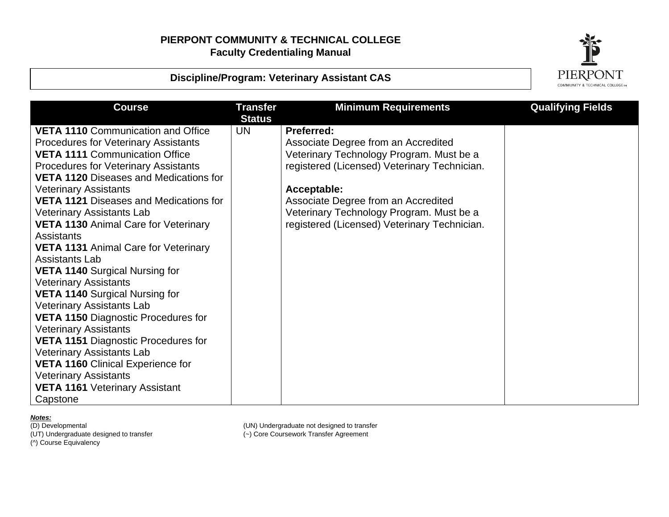



| <b>Course</b>                                 | <b>Transfer</b><br><b>Status</b> | <b>Minimum Requirements</b>                  | <b>Qualifying Fields</b> |
|-----------------------------------------------|----------------------------------|----------------------------------------------|--------------------------|
| <b>VETA 1110 Communication and Office</b>     | <b>UN</b>                        | <b>Preferred:</b>                            |                          |
| <b>Procedures for Veterinary Assistants</b>   |                                  | Associate Degree from an Accredited          |                          |
| <b>VETA 1111 Communication Office</b>         |                                  | Veterinary Technology Program. Must be a     |                          |
| <b>Procedures for Veterinary Assistants</b>   |                                  | registered (Licensed) Veterinary Technician. |                          |
| <b>VETA 1120 Diseases and Medications for</b> |                                  |                                              |                          |
| <b>Veterinary Assistants</b>                  |                                  | Acceptable:                                  |                          |
| <b>VETA 1121 Diseases and Medications for</b> |                                  | Associate Degree from an Accredited          |                          |
| <b>Veterinary Assistants Lab</b>              |                                  | Veterinary Technology Program. Must be a     |                          |
| <b>VETA 1130 Animal Care for Veterinary</b>   |                                  | registered (Licensed) Veterinary Technician. |                          |
| <b>Assistants</b>                             |                                  |                                              |                          |
| <b>VETA 1131 Animal Care for Veterinary</b>   |                                  |                                              |                          |
| <b>Assistants Lab</b>                         |                                  |                                              |                          |
| <b>VETA 1140 Surgical Nursing for</b>         |                                  |                                              |                          |
| <b>Veterinary Assistants</b>                  |                                  |                                              |                          |
| <b>VETA 1140 Surgical Nursing for</b>         |                                  |                                              |                          |
| <b>Veterinary Assistants Lab</b>              |                                  |                                              |                          |
| <b>VETA 1150 Diagnostic Procedures for</b>    |                                  |                                              |                          |
| <b>Veterinary Assistants</b>                  |                                  |                                              |                          |
| <b>VETA 1151 Diagnostic Procedures for</b>    |                                  |                                              |                          |
| <b>Veterinary Assistants Lab</b>              |                                  |                                              |                          |
| <b>VETA 1160 Clinical Experience for</b>      |                                  |                                              |                          |
| <b>Veterinary Assistants</b>                  |                                  |                                              |                          |
| <b>VETA 1161</b> Veterinary Assistant         |                                  |                                              |                          |
| Capstone                                      |                                  |                                              |                          |

**Notes:**<br>(D) Developmental

(D) Developmental (UN) Undergraduate not designed to transfer<br>
(UT) Undergraduate designed to transfer<br>
(-) Core Coursework Transfer Agreement (~) Core Coursework Transfer Agreement

(^) Course Equivalency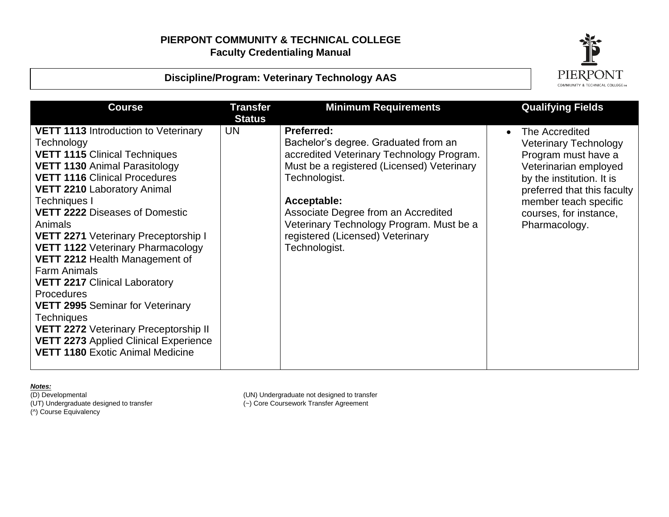



| <b>Course</b>                                                                                                                                                                                                                                                                                                                                                                                                                                                                                                                                                                                                                                                                                                    | <b>Transfer</b><br><b>Status</b> | <b>Minimum Requirements</b>                                                                                                                                                                                                                                                                                                  | <b>Qualifying Fields</b>                                                                                                                                                                                                       |
|------------------------------------------------------------------------------------------------------------------------------------------------------------------------------------------------------------------------------------------------------------------------------------------------------------------------------------------------------------------------------------------------------------------------------------------------------------------------------------------------------------------------------------------------------------------------------------------------------------------------------------------------------------------------------------------------------------------|----------------------------------|------------------------------------------------------------------------------------------------------------------------------------------------------------------------------------------------------------------------------------------------------------------------------------------------------------------------------|--------------------------------------------------------------------------------------------------------------------------------------------------------------------------------------------------------------------------------|
| <b>VETT 1113</b> Introduction to Veterinary<br>Technology<br><b>VETT 1115 Clinical Techniques</b><br><b>VETT 1130 Animal Parasitology</b><br><b>VETT 1116 Clinical Procedures</b><br><b>VETT 2210 Laboratory Animal</b><br>Techniques I<br><b>VETT 2222 Diseases of Domestic</b><br>Animals<br><b>VETT 2271 Veterinary Preceptorship I</b><br><b>VETT 1122 Veterinary Pharmacology</b><br>VETT 2212 Health Management of<br>Farm Animals<br><b>VETT 2217 Clinical Laboratory</b><br><b>Procedures</b><br><b>VETT 2995 Seminar for Veterinary</b><br><b>Techniques</b><br><b>VETT 2272 Veterinary Preceptorship II</b><br><b>VETT 2273 Applied Clinical Experience</b><br><b>VETT 1180 Exotic Animal Medicine</b> | <b>UN</b>                        | <b>Preferred:</b><br>Bachelor's degree. Graduated from an<br>accredited Veterinary Technology Program.<br>Must be a registered (Licensed) Veterinary<br>Technologist.<br>Acceptable:<br>Associate Degree from an Accredited<br>Veterinary Technology Program. Must be a<br>registered (Licensed) Veterinary<br>Technologist. | The Accredited<br><b>Veterinary Technology</b><br>Program must have a<br>Veterinarian employed<br>by the institution. It is<br>preferred that this faculty<br>member teach specific<br>courses, for instance,<br>Pharmacology. |

**Notes:**<br>(D) Developmental (^) Course Equivalency